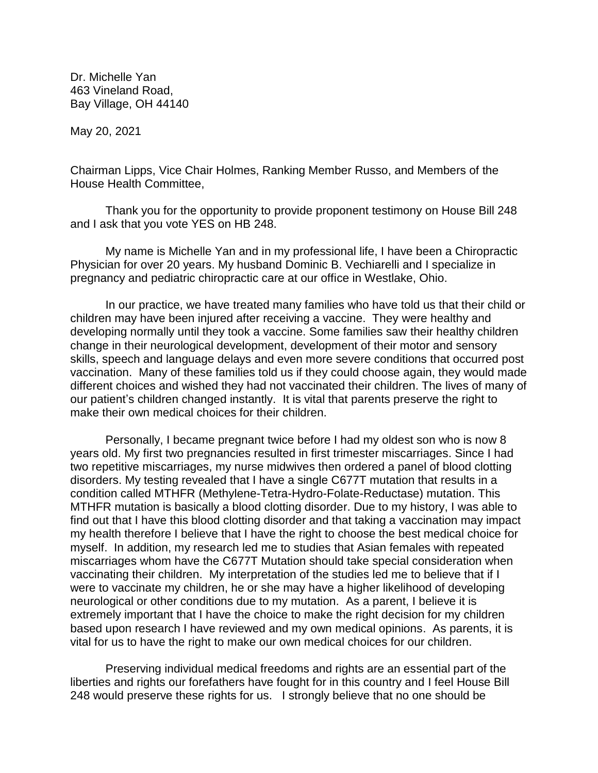Dr. Michelle Yan 463 Vineland Road, Bay Village, OH 44140

May 20, 2021

Chairman Lipps, Vice Chair Holmes, Ranking Member Russo, and Members of the House Health Committee,

Thank you for the opportunity to provide proponent testimony on House Bill 248 and I ask that you vote YES on HB 248.

My name is Michelle Yan and in my professional life, I have been a Chiropractic Physician for over 20 years. My husband Dominic B. Vechiarelli and I specialize in pregnancy and pediatric chiropractic care at our office in Westlake, Ohio.

In our practice, we have treated many families who have told us that their child or children may have been injured after receiving a vaccine. They were healthy and developing normally until they took a vaccine. Some families saw their healthy children change in their neurological development, development of their motor and sensory skills, speech and language delays and even more severe conditions that occurred post vaccination. Many of these families told us if they could choose again, they would made different choices and wished they had not vaccinated their children. The lives of many of our patient's children changed instantly. It is vital that parents preserve the right to make their own medical choices for their children.

Personally, I became pregnant twice before I had my oldest son who is now 8 years old. My first two pregnancies resulted in first trimester miscarriages. Since I had two repetitive miscarriages, my nurse midwives then ordered a panel of blood clotting disorders. My testing revealed that I have a single C677T mutation that results in a condition called MTHFR (Methylene-Tetra-Hydro-Folate-Reductase) mutation. This MTHFR mutation is basically a blood clotting disorder. Due to my history, I was able to find out that I have this blood clotting disorder and that taking a vaccination may impact my health therefore I believe that I have the right to choose the best medical choice for myself. In addition, my research led me to studies that Asian females with repeated miscarriages whom have the C677T Mutation should take special consideration when vaccinating their children. My interpretation of the studies led me to believe that if I were to vaccinate my children, he or she may have a higher likelihood of developing neurological or other conditions due to my mutation. As a parent, I believe it is extremely important that I have the choice to make the right decision for my children based upon research I have reviewed and my own medical opinions. As parents, it is vital for us to have the right to make our own medical choices for our children.

Preserving individual medical freedoms and rights are an essential part of the liberties and rights our forefathers have fought for in this country and I feel House Bill 248 would preserve these rights for us. I strongly believe that no one should be